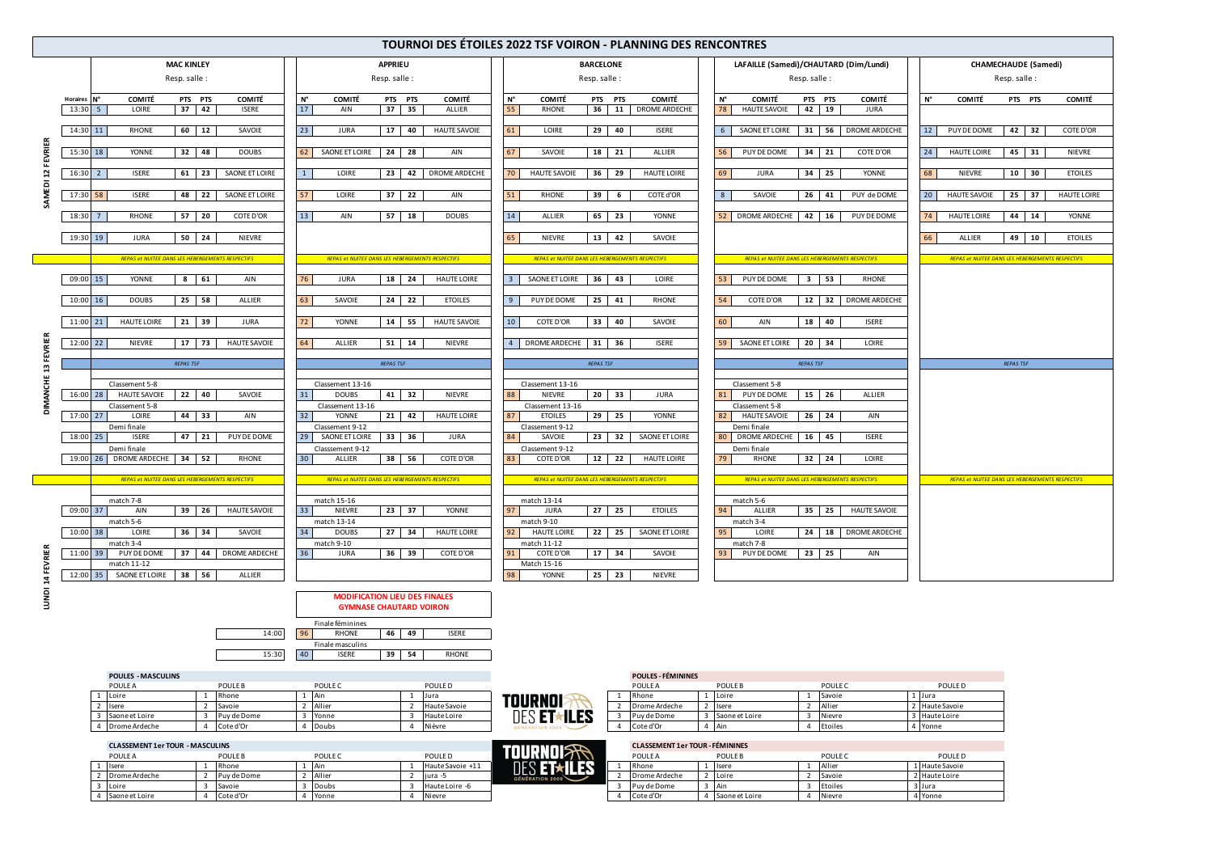Finale masculins

15:30 40 **ISERE** 39 54 RHONE

| <b>POULES - MASCULINS</b> | - FÉMININES<br><b>POULF</b><br><b>CONTRACTOR</b> |
|---------------------------|--------------------------------------------------|

| POULE A        | POULE B       | <b>POULE</b> | POULE D             |                    | <b>POULE A</b>  | <b>POULE</b> E | POULE <sub>C</sub> | POULE D      |
|----------------|---------------|--------------|---------------------|--------------------|-----------------|----------------|--------------------|--------------|
| Loire          | Rhone         | <b>Ain</b>   | Jura                | <b>TOURNOI</b>     | Rhone           | <b>Loire</b>   | Savoie             | 1 Jura       |
| Isere          | <b>Savoie</b> | Allier       | <b>Haute Savoie</b> |                    | I Drome Ardeche | <b>I</b> sere  | Allier             | Haute Savoie |
| Saone et Loire | Puy de Dome   | Yonne        | Haute Loire         | DEC ETAILER<br>LIP | Puy de Dome     | Saone et Loire | Nievre             | Haute Loire  |
| Drome Ardeche  | Cote d'Or     | Doubs        | <b>Nièvre</b>       |                    | Cote d'Or       | l Air          | Etoiles            | · Yonne      |

|                |                                                |                                                                                                            |                                                                                                         |                                                                                                     | <b>TOURNOI DES ÉTOILES 2022 TSF VOIRON - PLANNING DES RENCONTRES</b>   |                      |                                                                                                                           |                                                  |                                                      |                |                                                                              |                              |                                                   |             |                     |                                                  |                    |
|----------------|------------------------------------------------|------------------------------------------------------------------------------------------------------------|---------------------------------------------------------------------------------------------------------|-----------------------------------------------------------------------------------------------------|------------------------------------------------------------------------|----------------------|---------------------------------------------------------------------------------------------------------------------------|--------------------------------------------------|------------------------------------------------------|----------------|------------------------------------------------------------------------------|------------------------------|---------------------------------------------------|-------------|---------------------|--------------------------------------------------|--------------------|
|                |                                                |                                                                                                            | <b>MAC KINLEY</b><br>Resp. salle:                                                                       |                                                                                                     | <b>APPRIEU</b><br>Resp. salle:                                         |                      |                                                                                                                           | <b>BARCELONE</b><br>Resp. salle:                 |                                                      |                | LAFAILLE (Samedi)/CHAUTARD (Dim/Lundi)                                       | Resp. salle:                 |                                                   |             |                     | <b>CHAMECHAUDE (Samedi)</b><br>Resp. salle:      |                    |
| <b>EVRIER</b>  | Horaires N°<br>$13:30$ 5                       | <b>COMITÉ</b><br>LOIRE                                                                                     | COMITÉ<br>PTS PTS<br>$37 \mid 42$<br><b>ISERE</b>                                                       | $N^{\circ}$<br><b>COMITÉ</b><br>17<br>AIN                                                           | PTS PTS<br><b>COMITÉ</b><br>$37$ 35<br>ALLIER                          | N°<br>55             | <b>COMITÉ</b><br><b>RHONE</b>                                                                                             | PTS PTS                                          | <b>COMITÉ</b><br>36 11 DROME ARDECHE                 | N°<br>78       | <b>COMITÉ</b><br><b>HAUTE SAVOIE</b>                                         | PTS PTS<br>$42 \mid 19$      | <b>COMITÉ</b><br>JURA                             | $N^{\circ}$ | <b>COMITÉ</b>       | PTS PTS                                          | <b>COMITÉ</b>      |
|                | $14:30$ 11                                     | <b>RHONE</b>                                                                                               | 60 12<br>SAVOIE                                                                                         | 23<br><b>JURA</b>                                                                                   | 17 40<br><b>HAUTE SAVOIE</b>                                           | 61                   | LOIRE                                                                                                                     | 29 40                                            | <b>ISERE</b>                                         | 6              | SAONE ET LOIRE                                                               | 31 56                        | <b>DROME ARDECHE</b>                              | 12          | PUY DE DOME         | 42 32                                            | COTE D'OR          |
|                | 15:30 18                                       | YONNE                                                                                                      | $32 \mid 48$<br><b>DOUBS</b>                                                                            | 62<br>SAONE ET LOIRE                                                                                | 24 28<br>AIN                                                           | 67                   | SAVOIE                                                                                                                    | 18 21                                            | ALLIER                                               | 56             | PUY DE DOME                                                                  | 34 21                        | COTE D'OR                                         | 24          | <b>HAUTE LOIRE</b>  | $45$ 31                                          | <b>NIEVRE</b>      |
|                | $16:30$ 2                                      | <b>ISERE</b>                                                                                               | 61 23<br>SAONE ET LOIRE                                                                                 | LOIRE<br>$\mathbf{1}$                                                                               | 23 42<br><b>DROME ARDECHE</b>                                          | <b>70</b>            | <b>HAUTE SAVOIE</b>                                                                                                       | 36 29                                            | <b>HAUTE LOIRE</b>                                   | 69             | <b>JURA</b>                                                                  | 34 25                        | YONNE                                             | 68          | <b>NIEVRE</b>       | $10 \mid 30$                                     | <b>ETOILES</b>     |
|                | 17:30 58                                       | <b>ISERE</b>                                                                                               | 48 22<br>SAONE ET LOIRE                                                                                 | 57<br>LOIRE                                                                                         | $37$ 22<br>AIN                                                         | 51                   | RHONE                                                                                                                     | 39<br>6                                          | COTE d'OR                                            | 8              | SAVOIE                                                                       | $26 \mid 41$                 | PUY de DOME                                       | 20          | <b>HAUTE SAVOIE</b> | $25 \mid 37$                                     | <b>HAUTE LOIRE</b> |
|                | 18:30                                          | <b>RHONE</b>                                                                                               | 57 20<br>COTE D'OR                                                                                      | 13<br>AIN                                                                                           | $57$ 18<br><b>DOUBS</b>                                                | 14                   | <b>ALLIER</b>                                                                                                             | 65 23                                            | YONNE                                                | 52             | <b>DROME ARDECHE</b>                                                         | 42 16                        | PUY DE DOME                                       | 74          | <b>HAUTE LOIRE</b>  | 44 14                                            | <b>YONNE</b>       |
|                | 19:30 19                                       | <b>JURA</b>                                                                                                | $50 \mid 24$<br><b>NIEVRE</b>                                                                           |                                                                                                     |                                                                        | 65                   | <b>NIEVRE</b>                                                                                                             | $13 \mid 42$                                     | SAVOIE                                               |                |                                                                              |                              |                                                   | 66          | ALLIER              | 49 10                                            | <b>ETOILES</b>     |
|                |                                                |                                                                                                            | REPAS et NUITEE DANS LES HEBERGEMENTS RESPECTIFS                                                        |                                                                                                     | REPAS et NUITEE DANS LES HEBERGEMENTS RESPECTIFS                       |                      |                                                                                                                           | REPAS et NUITEE DANS LES HEBERGEMENTS RESPECTIFS |                                                      |                | REPAS et NUITEE DANS LES HEBERGEMENTS RESPECTIFS                             |                              |                                                   |             |                     | REPAS et NUITEE DANS LES HEBERGEMENTS RESPECTIFS |                    |
|                | 09:00 15                                       | <b>YONNE</b>                                                                                               | $8 \mid 61$<br>AIN                                                                                      | 76<br><b>JURA</b>                                                                                   | 18 24<br><b>HAUTE LOIRE</b>                                            |                      | SAONE ET LOIRE                                                                                                            | $36$ 43                                          | LOIRE                                                | -53            | PUY DE DOME                                                                  | $3 \mid 53$                  | <b>RHONE</b>                                      |             |                     |                                                  |                    |
|                | $10:00$ 16                                     | <b>DOUBS</b>                                                                                               | 25 58<br><b>ALLIER</b>                                                                                  | 63<br>SAVOIE                                                                                        | $24$ 22<br><b>ETOILES</b>                                              | 9                    | PUY DE DOME                                                                                                               | 25 41                                            | <b>RHONE</b>                                         | 54             | <b>COTE D'OR</b>                                                             |                              | 12 32 DROME ARDECHE                               |             |                     |                                                  |                    |
|                | 11:00 21                                       | <b>HAUTE LOIRE</b>                                                                                         | $21 \mid 39$<br><b>JURA</b>                                                                             | 72<br>YONNE                                                                                         | $14$ 55<br><b>HAUTE SAVOIE</b>                                         | 10                   | COTE D'OR                                                                                                                 | 33 40                                            | SAVOIE                                               | 60             | AIN                                                                          | 18 40                        | <b>ISERE</b>                                      |             |                     |                                                  |                    |
| <b>FEVRIER</b> | 12:00 22                                       | <b>NIEVRE</b>                                                                                              | $17$ 73<br><b>HAUTE SAVOIE</b>                                                                          | 64<br>ALLIER                                                                                        | $51$ 14<br><b>NIEVRE</b>                                               |                      | <b>DROME ARDECHE</b>                                                                                                      | $31 \quad 36$                                    | <b>ISERE</b>                                         | 59             | SAONE ET LOIRE                                                               | $20 \mid 34$                 | LOIRE                                             |             |                     |                                                  |                    |
|                |                                                |                                                                                                            | <b>REPAS TSF</b>                                                                                        |                                                                                                     | <b>REPAS TSF</b>                                                       |                      |                                                                                                                           | <b>REPAS TSF</b>                                 |                                                      |                |                                                                              | <b>REPAS TSF</b>             |                                                   |             |                     | <b>REPAS TSF</b>                                 |                    |
|                | $16:00$ 28<br>17:00 27                         | Classement 5-8<br><b>HAUTE SAVOIE</b><br>Classement 5-8<br>LOIRE                                           | $22 \mid 40$<br>SAVOIE<br>44 33<br>AIN                                                                  | Classement 13-16<br>31<br><b>DOUBS</b><br>Classement 13-16<br>32<br>YONNE                           | $41 \mid 32$<br><b>NIEVRE</b><br>$21 \mid 42$<br><b>HAUTE LOIRE</b>    | 88<br>87             | Classement 13-16<br><b>NIEVRE</b><br>Classement 13-16<br><b>ETOILES</b>                                                   | $20 \overline{33}$<br>$29$ 25                    | <b>JURA</b><br><b>YONNE</b>                          | 82             | Classement 5-8<br>PUY DE DOME<br>Classement 5-8<br><b>HAUTE SAVOIE</b>       | 15 26<br>$26$ 24             | ALLIER<br>AIN                                     |             |                     |                                                  |                    |
|                |                                                | Demi finale                                                                                                |                                                                                                         | Classement 9-12                                                                                     |                                                                        |                      | Classement 9-12                                                                                                           |                                                  |                                                      |                | Demi finale                                                                  |                              |                                                   |             |                     |                                                  |                    |
|                | 18:00 25                                       | <b>ISERE</b><br>Demi finale                                                                                | 47 21<br>PUY DE DOME                                                                                    | 29<br>SAONE ET LOIRE<br>Classsement 9-12                                                            | 33 36<br>JURA                                                          | 84                   | SAVOIE<br>Classement 9-12                                                                                                 | $23 \mid 32$                                     | SAONE ET LOIRE                                       | 80             | <b>DROME ARDECHE</b><br>Demi finale                                          | 16 45                        | <b>ISERE</b>                                      |             |                     |                                                  |                    |
|                |                                                | 19:00 26 DROME ARDECHE                                                                                     | $34$ 52<br><b>RHONE</b>                                                                                 | 30<br>ALLIER                                                                                        | 38 56<br>COTE D'OR                                                     | 83                   | <b>COTE D'OR</b>                                                                                                          | $12 \mid 22$                                     | <b>HAUTE LOIRE</b>                                   | 79             | <b>RHONE</b>                                                                 | $32 \mid 24$                 | LOIRE                                             |             |                     |                                                  |                    |
|                |                                                |                                                                                                            | REPAS et NUITEE DANS LES HEBERGEMENTS RESPECTIFS                                                        |                                                                                                     | REPAS et NUITEE DANS LES HEBERGEMENTS RESPECTIFS                       |                      |                                                                                                                           | REPAS et NUITEE DANS LES HEBERGEMENTS RESPECTIFS |                                                      |                | REPAS et NUITEE DANS LES HEBERGEMENTS RESPECTIFS                             |                              |                                                   |             |                     | REPAS et NUITEE DANS LES HEBERGEMENTS RESPECTIFS |                    |
| <b>EVRIER</b>  | 09:00 37<br>$10:00$ 38<br>11:00 39<br>12:00 35 | match 7-8<br>AIN<br>match 5-6<br>LOIRE<br>match 3-4<br>PUY DE DOME<br>match 11-12<br><b>SAONE ET LOIRE</b> | <b>HAUTE SAVOIE</b><br>$39 \mid 26$<br>$36 \mid 34$<br>SAVOIE<br>37 44 DROME ARDECHE<br>38 56<br>ALLIER | match 15-16<br>33<br><b>NIEVRE</b><br>match 13-14<br>34<br><b>DOUBS</b><br>match 9-10<br>36<br>JURA | 23 37<br>YONNE<br>27 34<br><b>HAUTE LOIRE</b><br>36 39<br>COTE D'OR    | 97<br>92<br>91<br>98 | match 13-14<br><b>JURA</b><br>match 9-10<br><b>HAUTE LOIRE</b><br>match 11-12<br><b>COTE D'OR</b><br>Match 15-16<br>YONNE | $27$ 25<br>$22$ 25<br>17 34<br>$25$ 23           | <b>ETOILES</b><br>SAONE ET LOIRE<br>SAVOIE<br>NIEVRE | 94<br>95<br>93 | match 5-6<br><b>ALLIER</b><br>match 3-4<br>LOIRE<br>match 7-8<br>PUY DE DOME | $35 \mid 25$<br>$23 \mid 25$ | <b>HAUTE SAVOIE</b><br>24 18 DROME ARDECHE<br>AIN |             |                     |                                                  |                    |
| š              |                                                |                                                                                                            |                                                                                                         | Finale féminines                                                                                    | <b>MODIFICATION LIEU DES FINALES</b><br><b>GYMNASE CHAUTARD VOIRON</b> |                      |                                                                                                                           |                                                  |                                                      |                |                                                                              |                              |                                                   |             |                     |                                                  |                    |
|                |                                                |                                                                                                            | 14:00                                                                                                   | 96<br>RHONE                                                                                         | 46 49<br><b>ISERE</b>                                                  |                      |                                                                                                                           |                                                  |                                                      |                |                                                                              |                              |                                                   |             |                     |                                                  |                    |

## **CLASSEMENT 1er TOUR - MASCULINS CLASSEMENT 1er TOUR - FÉMININES**

| <b>AKKIIN'</b><br>POULE A<br>POULE A<br>POULE B<br>POULE <sub>C</sub><br><b>POULE</b><br>POULE (<br>POULE D                                      | POULE D |
|--------------------------------------------------------------------------------------------------------------------------------------------------|---------|
|                                                                                                                                                  |         |
| DES ET <sup><sup>ILES</sup></sup><br>Allier<br>Haute Savoie +11<br>1   Haute Savoie<br><b>Rhone</b><br>- Air<br>isere<br>Rhone<br><b>I</b> lserr |         |
| Drome Ardeche<br>Allier<br>2 Haute Loire<br>Puy de Dome<br>Drome Ardeche<br><b>Loire</b><br>liura -<br><b>Savoie</b>                             |         |
| 3 Jura<br>Puy de Dome<br>Haute Loire -6<br>Savoie<br><b>IDoubs</b><br>Etoiles<br>Loire<br>l Air                                                  |         |
| Cote d'Or<br>Cote d'Or<br>Saone et Loire<br>4 Yonne<br>Saone et Loire<br>Nievre<br>Yonne<br>Nievre                                               |         |

| PUULE A        | PUULE B     | <b>PUULE</b> | PUULE D          | I UUNNUI / / / // | PUULE A       | PUULE B        | <b>PUULE L</b> |         | <b>PUULE</b>     |
|----------------|-------------|--------------|------------------|-------------------|---------------|----------------|----------------|---------|------------------|
| <b>Isere</b>   | Rhone       | -I Ain       | Haute Savoie +11 | DES ET*ILE        | Rhone         | Iser           | Allier         |         | 1   Haute Savoie |
| Drome Ardeche  | Puy de Dome | Allier       | iura -           | GÉNÉRATION 2009   | Drome Ardeche | Loire          | <b>Savoie</b>  |         | 2   Haute Loire  |
| Loire          | Savoie      | Doubs        | Haute Loire -6   |                   | l Puy de Dome | IAIN           | Etoiles        | 3 Jura  |                  |
| Saone et Loire | Cote d'Or   | Yonne        | Nievre           |                   | Cote d'Or     | Saone et Loire | Nievre         | 4 Yonne |                  |

| IDA E L<br>E.S<br><b>GÉNÉRATION 2009</b> |  |
|------------------------------------------|--|
| <b><i>AK</i>NULAR</b><br>Ш               |  |

|   | , 00659 TEMPINDES |   |                |         |                |
|---|-------------------|---|----------------|---------|----------------|
|   | POULE A           |   | POULE B        | POULE C | POULE D        |
|   | Rhone             |   | Loire          | Savoie  | . IJura        |
| 2 | Drome Ardeche     |   | <b>Isere</b>   | Allier  | 2 Haute Savoie |
| 3 | Puy de Dome       |   | Saone et Loire | Nievre  | 3 Haute Loire  |
| 4 | Cote d'Or         | 4 | l Ain          | Etoiles | 4 Yonne        |
|   |                   |   |                |         |                |